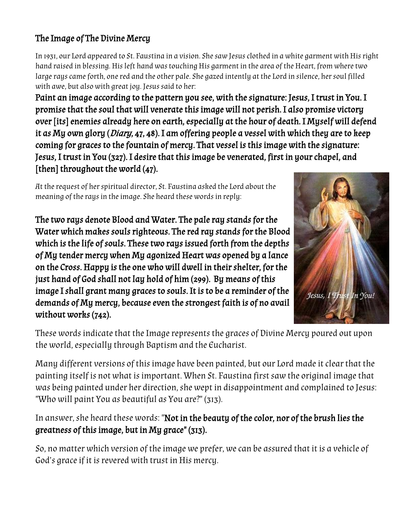## The Image of The Divine Mercy

In 1931, our Lord appeared to St. Faustina in a vision. She saw Jesus clothed in a white garment with His right hand raised in blessing. His left hand was touching His garment in the area of the Heart, from where two large rays came forth, one red and the other pale. She gazed intently at the Lord in silence, her soul filled with awe, but also with great joy. Jesus said to her:

Paint an image according to the pattern you see, with the signature: Jesus, I trust in You. I promise that the soul that will venerate this image will not perish. I also promise victory over [its] enemies already here on earth, especially at the hour of death. I Myself will defend it as My own glory (Diary, 47, 48). I am offering people a vessel with which they are to keep coming for graces to the fountain of mercy. That vessel is this image with the signature: Jesus, I trust in You (327). I desire that this image be venerated, first in your chapel, and [then] throughout the world (47).

At the request of her spiritual director, St. Faustina asked the Lord about the meaning of the rays in the image. She heard these words in reply:

The two rays denote Blood and Water. The pale ray stands for the Water which makes souls righteous. The red ray stands for the Blood which is the life of souls. These two rays issued forth from the depths of My tender mercy when My agonized Heart was opened by a lance on the Cross. Happy is the one who will dwell in their shelter, for the just hand of God shall not lay hold of him (299). By means of this image I shall grant many graces to souls. It is to be a reminder of the demands of My mercy, because even the strongest faith is of no avail without works (742).



These words indicate that the Image represents the graces of Divine Mercy poured out upon the world, especially through Baptism and the Eucharist.

Many different versions of this image have been painted, but our Lord made it clear that the painting itself is not what is important. When St. Faustina first saw the original image that was being painted under her direction, she wept in disappointment and complained to Jesus: "Who will paint You as beautiful as You are?" (313).

In answer, she heard these words: "Not in the beauty of the color, nor of the brush lies the greatness of this image, but in My grace" (313).

So, no matter which version of the image we prefer, we can be assured that it is a vehicle of God's grace if it is revered with trust in His mercy.